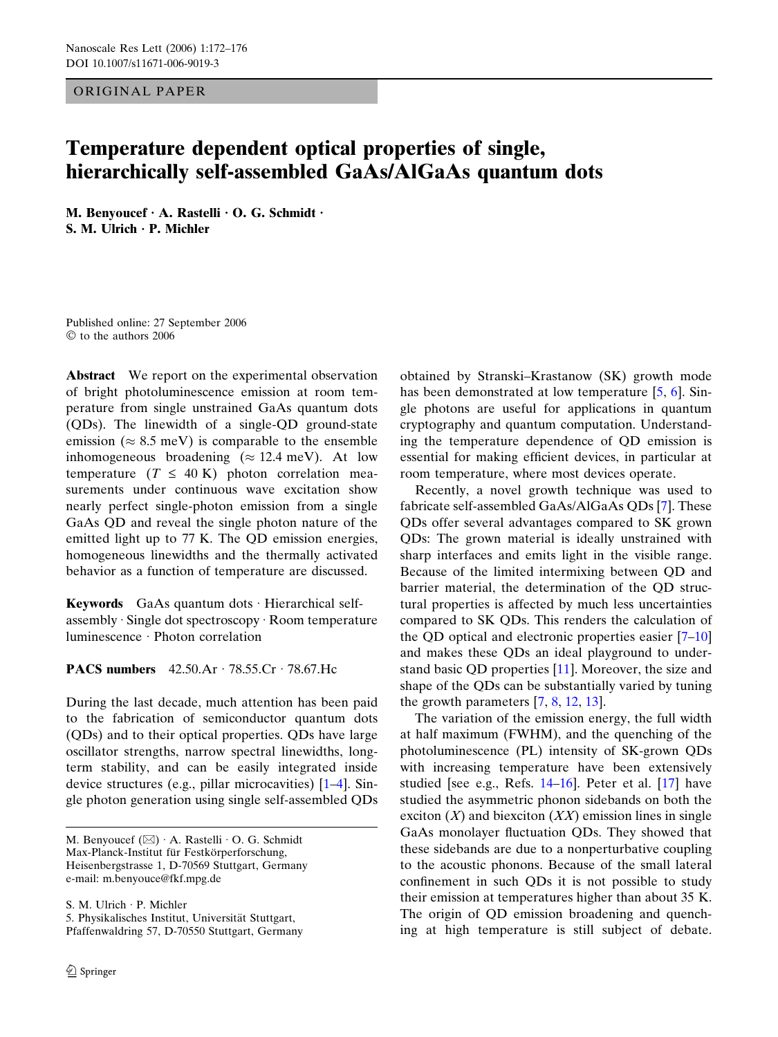ORIGINAL PAPER

## Temperature dependent optical properties of single, hierarchically self-assembled GaAs/AlGaAs quantum dots

M. Benyoucef  $\cdot$  A. Rastelli  $\cdot$  O. G. Schmidt  $\cdot$ S. M. Ulrich  $\cdot$  P. Michler

Published online: 27 September 2006  $\heartsuit$  to the authors 2006

Abstract We report on the experimental observation of bright photoluminescence emission at room temperature from single unstrained GaAs quantum dots (QDs). The linewidth of a single-QD ground-state emission ( $\approx 8.5$  meV) is comparable to the ensemble inhomogeneous broadening ( $\approx 12.4$  meV). At low temperature  $(T \leq 40 \text{ K})$  photon correlation measurements under continuous wave excitation show nearly perfect single-photon emission from a single GaAs QD and reveal the single photon nature of the emitted light up to 77 K. The QD emission energies, homogeneous linewidths and the thermally activated behavior as a function of temperature are discussed.

Keywords  $GaAs$  quantum dots  $\cdot$  Hierarchical selfassembly  $\cdot$  Single dot spectroscopy  $\cdot$  Room temperature  $l$ uminescence · Photon correlation

## PACS numbers  $42.50 \text{Ar} \cdot 78.55 \text{Cr} \cdot 78.67 \text{Hc}$

During the last decade, much attention has been paid to the fabrication of semiconductor quantum dots (QDs) and to their optical properties. QDs have large oscillator strengths, narrow spectral linewidths, longterm stability, and can be easily integrated inside device structures (e.g., pillar microcavities) [[1](#page-4-0)–[4\]](#page-4-0). Single photon generation using single self-assembled QDs

S. M. Ulrich · P. Michler

5. Physikalisches Institut, Universität Stuttgart, Pfaffenwaldring 57, D-70550 Stuttgart, Germany

obtained by Stranski–Krastanow (SK) growth mode has been demonstrated at low temperature [\[5](#page-4-0), [6](#page-4-0)]. Single photons are useful for applications in quantum cryptography and quantum computation. Understanding the temperature dependence of QD emission is essential for making efficient devices, in particular at room temperature, where most devices operate.

Recently, a novel growth technique was used to fabricate self-assembled GaAs/AlGaAs QDs [[7\]](#page-4-0). These QDs offer several advantages compared to SK grown QDs: The grown material is ideally unstrained with sharp interfaces and emits light in the visible range. Because of the limited intermixing between QD and barrier material, the determination of the QD structural properties is affected by much less uncertainties compared to SK QDs. This renders the calculation of the QD optical and electronic properties easier [\[7–10](#page-4-0)] and makes these QDs an ideal playground to understand basic QD properties [\[11](#page-4-0)]. Moreover, the size and shape of the QDs can be substantially varied by tuning the growth parameters [[7,](#page-4-0) [8](#page-4-0), [12,](#page-4-0) [13](#page-4-0)].

The variation of the emission energy, the full width at half maximum (FWHM), and the quenching of the photoluminescence (PL) intensity of SK-grown QDs with increasing temperature have been extensively studied [see e.g., Refs. [14–16](#page-4-0)]. Peter et al. [\[17](#page-4-0)] have studied the asymmetric phonon sidebands on both the exciton  $(X)$  and biexciton  $(XX)$  emission lines in single GaAs monolayer fluctuation QDs. They showed that these sidebands are due to a nonperturbative coupling to the acoustic phonons. Because of the small lateral confinement in such QDs it is not possible to study their emission at temperatures higher than about 35 K. The origin of QD emission broadening and quenching at high temperature is still subject of debate.

M. Benyoucef  $(\boxtimes)$  A. Rastelli  $\cdot$  O. G. Schmidt Max-Planck-Institut für Festkörperforschung, Heisenbergstrasse 1, D-70569 Stuttgart, Germany e-mail: m.benyouce@fkf.mpg.de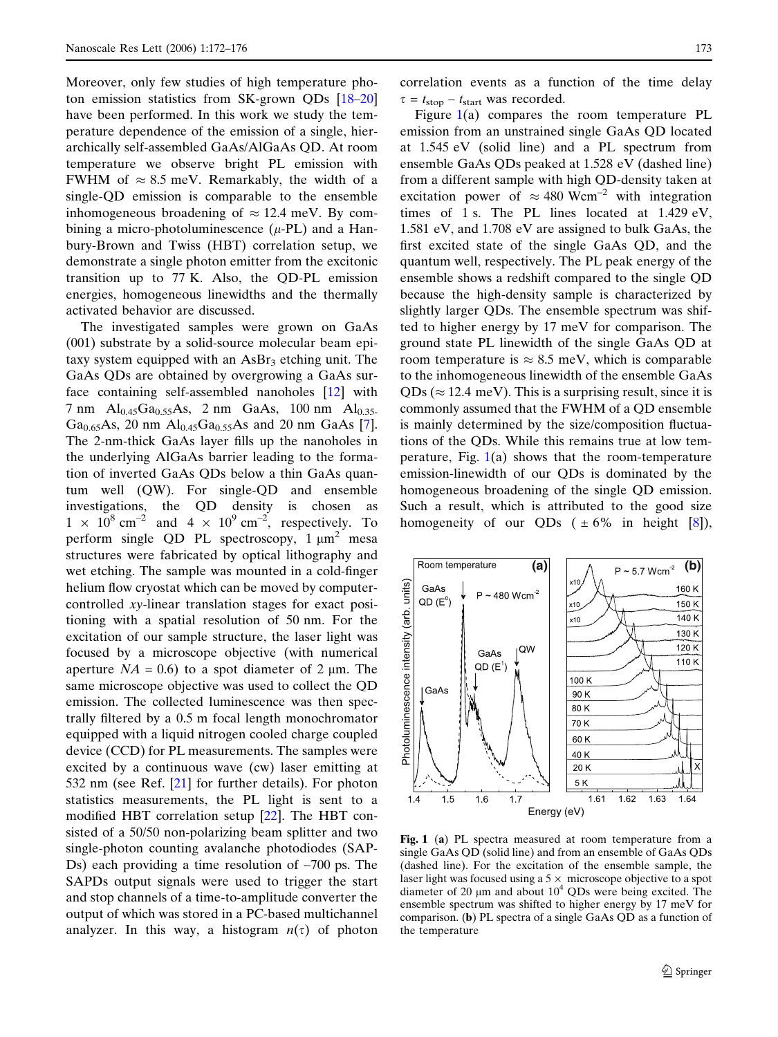<span id="page-1-0"></span>Moreover, only few studies of high temperature photon emission statistics from SK-grown QDs [\[18–20](#page-4-0)] have been performed. In this work we study the temperature dependence of the emission of a single, hierarchically self-assembled GaAs/AlGaAs QD. At room temperature we observe bright PL emission with FWHM of  $\approx 8.5$  meV. Remarkably, the width of a single-QD emission is comparable to the ensemble inhomogeneous broadening of  $\approx 12.4$  meV. By combining a micro-photoluminescence  $(\mu$ -PL) and a Hanbury-Brown and Twiss (HBT) correlation setup, we demonstrate a single photon emitter from the excitonic transition up to 77 K. Also, the QD-PL emission energies, homogeneous linewidths and the thermally activated behavior are discussed.

The investigated samples were grown on GaAs (001) substrate by a solid-source molecular beam epitaxy system equipped with an  $\text{AsBr}_3$  etching unit. The GaAs QDs are obtained by overgrowing a GaAs surface containing self-assembled nanoholes [[12\]](#page-4-0) with 7 nm  $Al_{0.45}Ga_{0.55}As$ , 2 nm  $GaAs$ , 100 nm  $Al_{0.35}$ . Ga<sub>0.65</sub>As, 20 nm  $Al_{0.45}Ga_{0.55}As$  and 20 nm GaAs [[7\]](#page-4-0). The 2-nm-thick GaAs layer fills up the nanoholes in the underlying AlGaAs barrier leading to the formation of inverted GaAs QDs below a thin GaAs quantum well (QW). For single-QD and ensemble investigations, the QD density is chosen as  $1 \times 10^8$  cm<sup>-2</sup> and  $4 \times 10^9$  cm<sup>-2</sup>, respectively. To perform single QD PL spectroscopy,  $1 \mu m^2$  mesa structures were fabricated by optical lithography and wet etching. The sample was mounted in a cold-finger helium flow cryostat which can be moved by computercontrolled xy-linear translation stages for exact positioning with a spatial resolution of 50 nm. For the excitation of our sample structure, the laser light was focused by a microscope objective (with numerical aperture  $NA = 0.6$ ) to a spot diameter of 2  $\mu$ m. The same microscope objective was used to collect the QD emission. The collected luminescence was then spectrally filtered by a 0.5 m focal length monochromator equipped with a liquid nitrogen cooled charge coupled device (CCD) for PL measurements. The samples were excited by a continuous wave (cw) laser emitting at 532 nm (see Ref. [\[21\]](#page-4-0) for further details). For photon statistics measurements, the PL light is sent to a modified HBT correlation setup [[22\]](#page-4-0). The HBT consisted of a 50/50 non-polarizing beam splitter and two single-photon counting avalanche photodiodes (SAP-Ds) each providing a time resolution of  $\sim$ 700 ps. The SAPDs output signals were used to trigger the start and stop channels of a time-to-amplitude converter the output of which was stored in a PC-based multichannel analyzer. In this way, a histogram  $n(\tau)$  of photon correlation events as a function of the time delay  $\tau = t_{\text{stop}} - t_{\text{start}}$  was recorded.

Figure 1(a) compares the room temperature PL emission from an unstrained single GaAs QD located at 1.545 eV (solid line) and a PL spectrum from ensemble GaAs QDs peaked at 1.528 eV (dashed line) from a different sample with high QD-density taken at excitation power of  $\approx 480$  Wcm<sup>-2</sup> with integration times of 1 s. The PL lines located at 1.429 eV, 1.581 eV, and 1.708 eV are assigned to bulk GaAs, the first excited state of the single GaAs QD, and the quantum well, respectively. The PL peak energy of the ensemble shows a redshift compared to the single QD because the high-density sample is characterized by slightly larger QDs. The ensemble spectrum was shifted to higher energy by 17 meV for comparison. The ground state PL linewidth of the single GaAs QD at room temperature is  $\approx 8.5$  meV, which is comparable to the inhomogeneous linewidth of the ensemble GaAs  $QDs \approx 12.4$  meV). This is a surprising result, since it is commonly assumed that the FWHM of a QD ensemble is mainly determined by the size/composition fluctuations of the QDs. While this remains true at low temperature, Fig.  $1(a)$  shows that the room-temperature emission-linewidth of our QDs is dominated by the homogeneous broadening of the single QD emission. Such a result, which is attributed to the good size homogeneity of our QDs ( $\pm 6\%$  in height [[8\]](#page-4-0)),



Fig. 1 (a) PL spectra measured at room temperature from a single GaAs QD (solid line) and from an ensemble of GaAs QDs (dashed line). For the excitation of the ensemble sample, the laser light was focused using a  $5 \times$  microscope objective to a spot diameter of 20  $\mu$ m and about 10<sup>4</sup> QDs were being excited. The ensemble spectrum was shifted to higher energy by 17 meV for comparison. (b) PL spectra of a single GaAs QD as a function of the temperature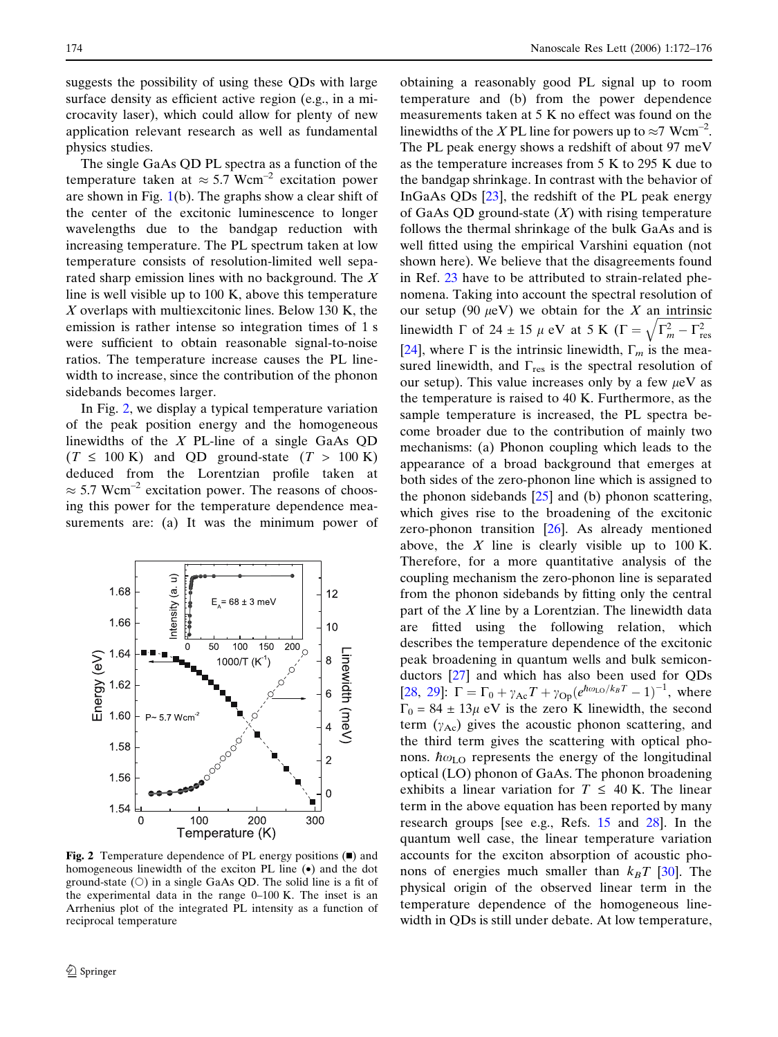<span id="page-2-0"></span>suggests the possibility of using these QDs with large surface density as efficient active region (e.g., in a microcavity laser), which could allow for plenty of new application relevant research as well as fundamental physics studies.

The single GaAs QD PL spectra as a function of the temperature taken at  $\approx 5.7$  Wcm<sup>-2</sup> excitation power are shown in Fig.  $1(b)$  $1(b)$ . The graphs show a clear shift of the center of the excitonic luminescence to longer wavelengths due to the bandgap reduction with increasing temperature. The PL spectrum taken at low temperature consists of resolution-limited well separated sharp emission lines with no background. The X line is well visible up to 100 K, above this temperature X overlaps with multiexcitonic lines. Below 130 K, the emission is rather intense so integration times of 1 s were sufficient to obtain reasonable signal-to-noise ratios. The temperature increase causes the PL linewidth to increase, since the contribution of the phonon sidebands becomes larger.

In Fig. 2, we display a typical temperature variation of the peak position energy and the homogeneous linewidths of the  $X$  PL-line of a single GaAs QD  $(T \leq 100 \text{ K})$  and QD ground-state  $(T > 100 \text{ K})$ deduced from the Lorentzian profile taken at  $\approx$  5.7 Wcm<sup>-2</sup> excitation power. The reasons of choosing this power for the temperature dependence measurements are: (a) It was the minimum power of



Fig. 2 Temperature dependence of PL energy positions  $(\blacksquare)$  and homogeneous linewidth of the exciton PL line (•) and the dot ground-state  $(O)$  in a single GaAs QD. The solid line is a fit of the experimental data in the range 0–100 K. The inset is an Arrhenius plot of the integrated PL intensity as a function of reciprocal temperature

obtaining a reasonably good PL signal up to room temperature and (b) from the power dependence measurements taken at 5 K no effect was found on the linewidths of the XPL line for powers up to  $\approx$ 7 Wcm<sup>-2</sup>. The PL peak energy shows a redshift of about 97 meV as the temperature increases from 5 K to 295 K due to the bandgap shrinkage. In contrast with the behavior of InGaAs QDs [\[23](#page-4-0)], the redshift of the PL peak energy of GaAs QD ground-state  $(X)$  with rising temperature follows the thermal shrinkage of the bulk GaAs and is well fitted using the empirical Varshini equation (not shown here). We believe that the disagreements found in Ref. [23](#page-4-0) have to be attributed to strain-related phenomena. Taking into account the spectral resolution of our setup (90  $\mu$ eV) we obtain for the X an intrinsic linewidth  $\Gamma$  of 24  $\pm$  15  $\mu$  eV at 5 K ( $\Gamma$  =  $\frac{1}{2}$   $\frac{1}{2}$  $\sqrt{\Gamma_m^2 - \Gamma_{\text{res}}^2}$ [[24\]](#page-4-0), where  $\Gamma$  is the intrinsic linewidth,  $\Gamma_m$  is the measured linewidth, and  $\Gamma_{\text{res}}$  is the spectral resolution of our setup). This value increases only by a few  $\mu$ eV as the temperature is raised to 40 K. Furthermore, as the sample temperature is increased, the PL spectra become broader due to the contribution of mainly two mechanisms: (a) Phonon coupling which leads to the appearance of a broad background that emerges at both sides of the zero-phonon line which is assigned to the phonon sidebands  $[25]$  $[25]$  and (b) phonon scattering, which gives rise to the broadening of the excitonic zero-phonon transition [\[26](#page-4-0)]. As already mentioned above, the  $X$  line is clearly visible up to 100 K. Therefore, for a more quantitative analysis of the coupling mechanism the zero-phonon line is separated from the phonon sidebands by fitting only the central part of the  $X$  line by a Lorentzian. The linewidth data are fitted using the following relation, which describes the temperature dependence of the excitonic peak broadening in quantum wells and bulk semiconductors [[27\]](#page-4-0) and which has also been used for QDs [[28,](#page-4-0) [29](#page-4-0)]:  $\Gamma = \Gamma_0 + \gamma_{\text{Ac}}T + \gamma_{\text{Op}}(e^{\hbar \omega_{\text{LO}}/k_B T} - 1)^{-1}$ , where  $\Gamma_0 = 84 \pm 13\mu$  eV is the zero K linewidth, the second term  $(\gamma_{Ac})$  gives the acoustic phonon scattering, and the third term gives the scattering with optical phonons.  $\hbar \omega_{LO}$  represents the energy of the longitudinal optical (LO) phonon of GaAs. The phonon broadening exhibits a linear variation for  $T \leq 40$  K. The linear term in the above equation has been reported by many research groups [see e.g., Refs. [15](#page-4-0) and [28](#page-4-0)]. In the quantum well case, the linear temperature variation accounts for the exciton absorption of acoustic phonons of energies much smaller than  $k_BT$  [\[30](#page-4-0)]. The physical origin of the observed linear term in the temperature dependence of the homogeneous linewidth in QDs is still under debate. At low temperature,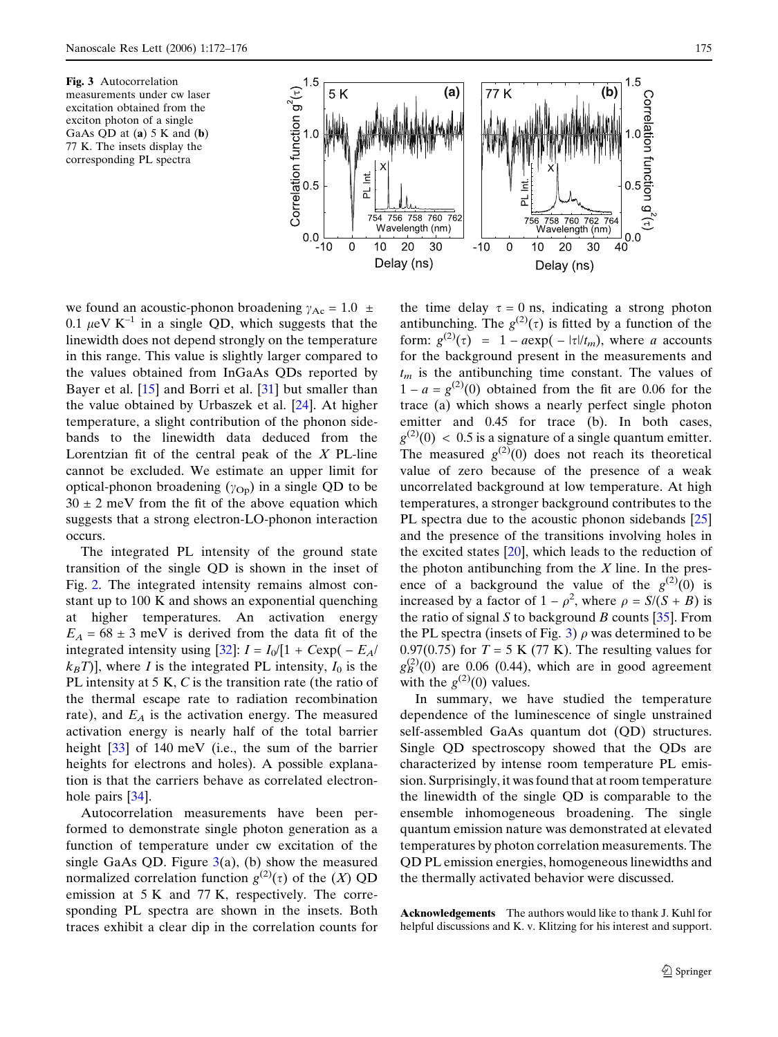

excitation obtained from the exciton photon of a single GaAs QD at  $(a)$  5 K and  $(b)$ 77 K. The insets display the corresponding PL spectra

we found an acoustic-phonon broadening  $\gamma_{\text{Ac}} = 1.0 \pm$ 0.1  $\mu$ eV K<sup>-1</sup> in a single QD, which suggests that the linewidth does not depend strongly on the temperature in this range. This value is slightly larger compared to the values obtained from InGaAs QDs reported by Bayer et al. [\[15](#page-4-0)] and Borri et al. [[31\]](#page-4-0) but smaller than the value obtained by Urbaszek et al. [[24\]](#page-4-0). At higher temperature, a slight contribution of the phonon sidebands to the linewidth data deduced from the Lorentzian fit of the central peak of the  $X$  PL-line cannot be excluded. We estimate an upper limit for optical-phonon broadening  $(\gamma_{\text{Op}})$  in a single QD to be  $30 \pm 2$  meV from the fit of the above equation which suggests that a strong electron-LO-phonon interaction occurs.

The integrated PL intensity of the ground state transition of the single QD is shown in the inset of Fig. [2](#page-2-0). The integrated intensity remains almost constant up to 100 K and shows an exponential quenching at higher temperatures. An activation energy  $E_A = 68 \pm 3$  meV is derived from the data fit of the integrated intensity using [[32\]](#page-4-0):  $I = I_0/[1 + C \exp(-E_A/\sqrt{2})]$  $k_BT$ ), where I is the integrated PL intensity,  $I_0$  is the PL intensity at 5 K, C is the transition rate (the ratio of the thermal escape rate to radiation recombination rate), and  $E_A$  is the activation energy. The measured activation energy is nearly half of the total barrier height [[33\]](#page-4-0) of 140 meV (i.e., the sum of the barrier heights for electrons and holes). A possible explanation is that the carriers behave as correlated electronhole pairs [\[34](#page-4-0)].

Autocorrelation measurements have been performed to demonstrate single photon generation as a function of temperature under cw excitation of the single GaAs QD. Figure  $3(a)$ , (b) show the measured normalized correlation function  $g^{(2)}(\tau)$  of the  $(X)$  QD emission at 5 K and 77 K, respectively. The corresponding PL spectra are shown in the insets. Both traces exhibit a clear dip in the correlation counts for the time delay  $\tau = 0$  ns, indicating a strong photon antibunching. The  $g^{(2)}(\tau)$  is fitted by a function of the form:  $g^{(2)}(\tau) = 1 - a \exp(-|\tau|/t_m)$ , where a accounts for the background present in the measurements and  $t_m$  is the antibunching time constant. The values of  $1 - a = g^{(2)}(0)$  obtained from the fit are 0.06 for the trace (a) which shows a nearly perfect single photon emitter and  $0.45$  for trace (b). In both cases,  $g^{(2)}(0)$  < 0.5 is a signature of a single quantum emitter. The measured  $g^{(2)}(0)$  does not reach its theoretical value of zero because of the presence of a weak uncorrelated background at low temperature. At high temperatures, a stronger background contributes to the PL spectra due to the acoustic phonon sidebands [\[25](#page-4-0)] and the presence of the transitions involving holes in the excited states  $[20]$  $[20]$ , which leads to the reduction of the photon antibunching from the  $X$  line. In the presence of a background the value of the  $g^{(2)}(0)$  is increased by a factor of  $1 - \rho^2$ , where  $\rho = S/(S + B)$  is the ratio of signal S to background B counts  $[35]$  $[35]$ . From the PL spectra (insets of Fig. 3)  $\rho$  was determined to be 0.97(0.75) for  $T = 5$  K (77 K). The resulting values for  $g_B^{(2)}(0)$  are 0.06 (0.44), which are in good agreement with the  $g^{(2)}(0)$  values.

In summary, we have studied the temperature dependence of the luminescence of single unstrained self-assembled GaAs quantum dot (QD) structures. Single QD spectroscopy showed that the QDs are characterized by intense room temperature PL emission. Surprisingly, it was found that at room temperature the linewidth of the single QD is comparable to the ensemble inhomogeneous broadening. The single quantum emission nature was demonstrated at elevated temperatures by photon correlation measurements. The QD PL emission energies, homogeneous linewidths and the thermally activated behavior were discussed.

Acknowledgements The authors would like to thank J. Kuhl for helpful discussions and K. v. Klitzing for his interest and support.